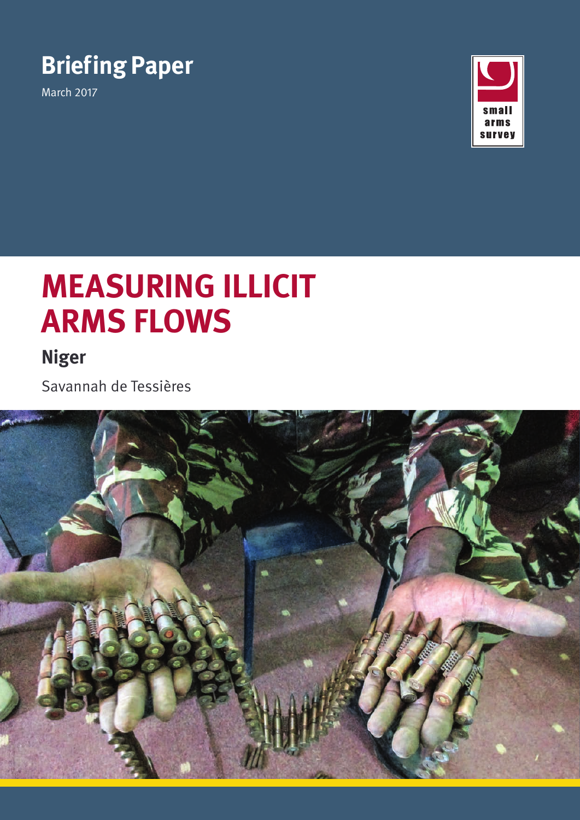# **Briefing Paper**

March 2017



# **MEASURING ILLICIT ARMS FLOWS**

# **Niger**

Savannah de Tessières

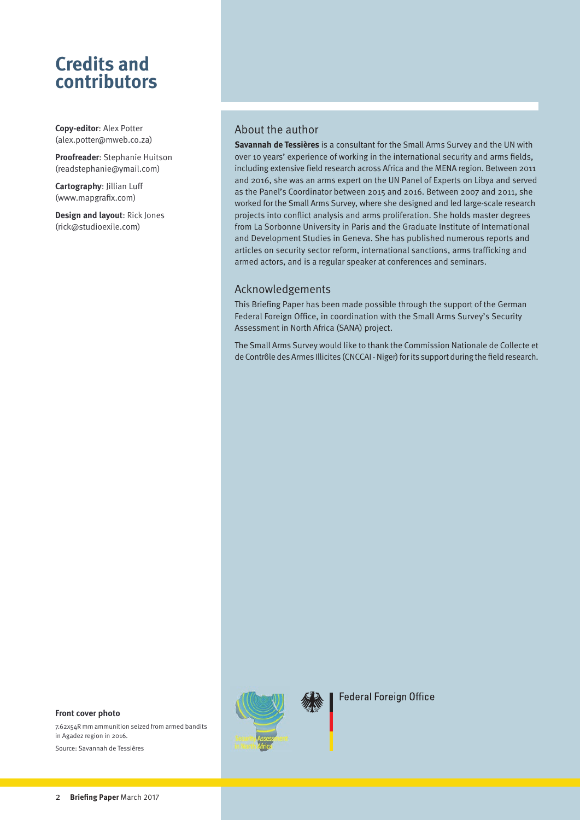# **Credits and contributors**

**Copy-editor**: Alex Potter ([alex.potter@mweb.co.za\)](mailto:alex.potter%40mweb.co.za?subject=Enquiry)

**Proofreader**: Stephanie Huitson (readstephanie@ymail.com)

**Cartography**: Jillian Luff ([www.mapgrafix.com\)](www.mapgrafix.com)

**Design and layout**: Rick Jones ([rick@studioexile.com](mailto:rick%40studioexile.com?subject=Enquiry))

#### About the author

**Savannah de Tessières** is a consultant for the Small Arms Survey and the UN with over 10 years' experience of working in the international security and arms fields, including extensive field research across Africa and the MENA region. Between 2011 and 2016, she was an arms expert on the UN Panel of Experts on Libya and served as the Panel's Coordinator between 2015 and 2016. Between 2007 and 2011, she worked for the Small Arms Survey, where she designed and led large-scale research projects into conflict analysis and arms proliferation. She holds master degrees from La Sorbonne University in Paris and the Graduate Institute of International and Development Studies in Geneva. She has published numerous reports and articles on security sector reform, international sanctions, arms trafficking and armed actors, and is a regular speaker at conferences and seminars.

#### Acknowledgements

This Briefing Paper has been made possible through the support of the German Federal Foreign Office, in coordination with the Small Arms Survey's Security Assessment in North Africa (SANA) project.

The Small Arms Survey would like to thank the Commission Nationale de Collecte et de Contrôle des Armes Illicites (CNCCAI - Niger) for its support during the field research.



**Federal Foreign Office** 

#### **Front cover photo**

7.62x54R mm ammunition seized from armed bandits in Agadez region in 2016. Source: Savannah de Tessières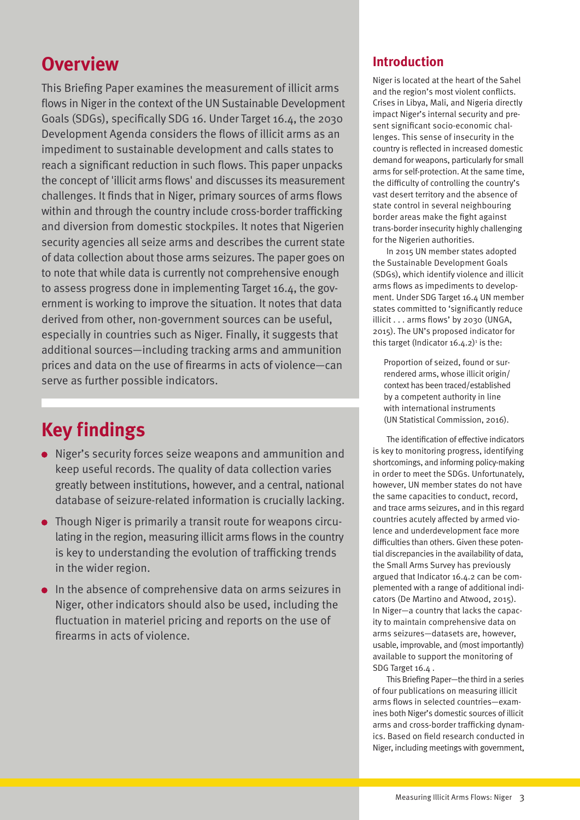# **Overview**

This Briefing Paper examines the measurement of illicit arms flows in Niger in the context of the UN Sustainable Development Goals (SDGs), specifically SDG 16. Under Target 16.4, the 2030 Development Agenda considers the flows of illicit arms as an impediment to sustainable development and calls states to reach a significant reduction in such flows. This paper unpacks the concept of 'illicit arms flows' and discusses its measurement challenges. It finds that in Niger, primary sources of arms flows within and through the country include cross-border trafficking and diversion from domestic stockpiles. It notes that Nigerien security agencies all seize arms and describes the current state of data collection about those arms seizures. The paper goes on to note that while data is currently not comprehensive enough to assess progress done in implementing Target 16.4, the government is working to improve the situation. It notes that data derived from other, non-government sources can be useful, especially in countries such as Niger. Finally, it suggests that additional sources—including tracking arms and ammunition prices and data on the use of firearms in acts of violence—can serve as further possible indicators.

# **Key findings**

- Niger's security forces seize weapons and ammunition and keep useful records. The quality of data collection varies greatly between institutions, however, and a central, national database of seizure-related information is crucially lacking.
- Though Niger is primarily a transit route for weapons circulating in the region, measuring illicit arms flows in the country is key to understanding the evolution of trafficking trends in the wider region.
- In the absence of comprehensive data on arms seizures in Niger, other indicators should also be used, including the fluctuation in materiel pricing and reports on the use of firearms in acts of violence.

## **Introduction**

Niger is located at the heart of the Sahel and the region's most violent conflicts. Crises in Libya, Mali, and Nigeria directly impact Niger's internal security and present significant socio-economic challenges. This sense of insecurity in the country is reflected in increased domestic demand for weapons, particularly for small arms for self-protection. At the same time, the difficulty of controlling the country's vast desert territory and the absence of state control in several neighbouring border areas make the fight against trans-border insecurity highly challenging for the Nigerien authorities.

In 2015 UN member states adopted the Sustainable Development Goals (SDGs), which identify violence and illicit arms flows as impediments to development. Under SDG Target 16.4 UN member states committed to 'significantly reduce illicit . . . arms flows' by 2030 (UNGA, 2015). The UN's proposed indicator for this target (Indicator  $16.4.2$ )<sup>1</sup> is the:

Proportion of seized, found or surrendered arms, whose illicit origin/ context has been traced/established by a competent authority in line with international instruments (UN Statistical Commission, 2016).

The identification of effective indicators is key to monitoring progress, identifying shortcomings, and informing policy-making in order to meet the SDGs. Unfortunately, however, UN member states do not have the same capacities to conduct, record, and trace arms seizures, and in this regard countries acutely affected by armed violence and underdevelopment face more difficulties than others. Given these potential discrepancies in the availability of data, the Small Arms Survey has previously argued that Indicator 16.4.2 can be complemented with a range of additional indicators (De Martino and Atwood, 2015). In Niger—a country that lacks the capacity to maintain comprehensive data on arms seizures—datasets are, however, usable, improvable, and (most importantly) available to support the monitoring of SDG Target 16.4 .

This Briefing Paper—the third in a series of four publications on measuring illicit arms flows in selected countries—examines both Niger's domestic sources of illicit arms and cross-border trafficking dynamics. Based on field research conducted in Niger, including meetings with government,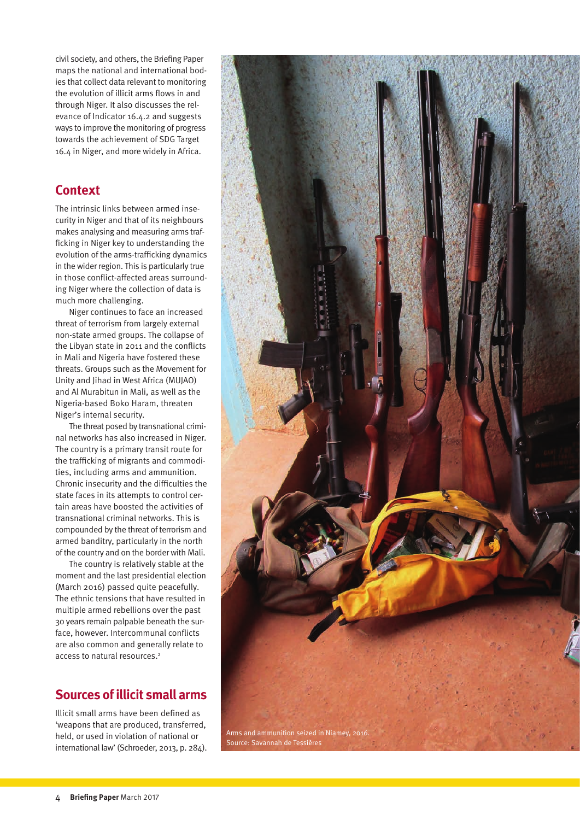civil society, and others, the Briefing Paper maps the national and international bodies that collect data relevant to monitoring the evolution of illicit arms flows in and through Niger. It also discusses the relevance of Indicator 16.4.2 and suggests ways to improve the monitoring of progress towards the achievement of SDG Target 16.4 in Niger, and more widely in Africa.

# **Context**

The intrinsic links between armed insecurity in Niger and that of its neighbours makes analysing and measuring arms trafficking in Niger key to understanding the evolution of the arms-trafficking dynamics in the wider region. This is particularly true in those conflict-affected areas surrounding Niger where the collection of data is much more challenging.

Niger continues to face an increased threat of terrorism from largely external non-state armed groups. The collapse of the Libyan state in 2011 and the conflicts in Mali and Nigeria have fostered these threats. Groups such as the Movement for Unity and Jihad in West Africa (MUJAO) and Al Murabitun in Mali, as well as the Nigeria-based Boko Haram, threaten Niger's internal security.

The threat posed by transnational criminal networks has also increased in Niger. The country is a primary transit route for the trafficking of migrants and commodities, including arms and ammunition. Chronic insecurity and the difficulties the state faces in its attempts to control certain areas have boosted the activities of transnational criminal networks. This is compounded by the threat of terrorism and armed banditry, particularly in the north of the country and on the border with Mali.

The country is relatively stable at the moment and the last presidential election (March 2016) passed quite peacefully. The ethnic tensions that have resulted in multiple armed rebellions over the past 30 years remain palpable beneath the surface, however. Intercommunal conflicts are also common and generally relate to access to natural resources.<sup>2</sup>

# **Sources of illicit small arms**

Illicit small arms have been defined as 'weapons that are produced, transferred, held, or used in violation of national or international law' (Schroeder, 2013, p. 284).

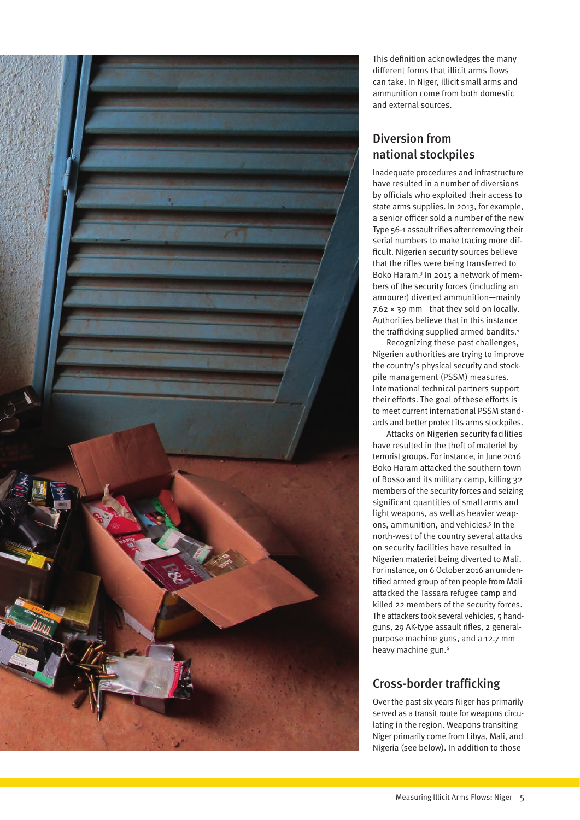

This definition acknowledges the many different forms that illicit arms flows can take. In Niger, illicit small arms and ammunition come from both domestic and external sources.

# Diversion from national stockpiles

Inadequate procedures and infrastructure have resulted in a number of diversions by officials who exploited their access to state arms supplies. In 2013, for example, a senior officer sold a number of the new Type 56-1 assault rifles after removing their serial numbers to make tracing more difficult. Nigerien security sources believe that the rifles were being transferred to Boko Haram.3 In 2015 a network of members of the security forces (including an armourer) diverted ammunition—mainly 7.62 × 39 mm—that they sold on locally. Authorities believe that in this instance the trafficking supplied armed bandits.4

Recognizing these past challenges, Nigerien authorities are trying to improve the country's physical security and stockpile management (PSSM) measures. International technical partners support their efforts. The goal of these efforts is to meet current international PSSM standards and better protect its arms stockpiles.

Attacks on Nigerien security facilities have resulted in the theft of materiel by terrorist groups. For instance, in June 2016 Boko Haram attacked the southern town of Bosso and its military camp, killing 32 members of the security forces and seizing significant quantities of small arms and light weapons, as well as heavier weapons, ammunition, and vehicles.<sup>5</sup> In the north-west of the country several attacks on security facilities have resulted in Nigerien materiel being diverted to Mali. For instance, on 6 October 2016 an unidentified armed group of ten people from Mali attacked the Tassara refugee camp and killed 22 members of the security forces. The attackers took several vehicles, 5 handguns, 29 AK-type assault rifles, 2 generalpurpose machine guns, and a 12.7 mm heavy machine gun.<sup>6</sup>

# Cross-border trafficking

Over the past six years Niger has primarily served as a transit route for weapons circulating in the region. Weapons transiting Niger primarily come from Libya, Mali, and Nigeria (see below). In addition to those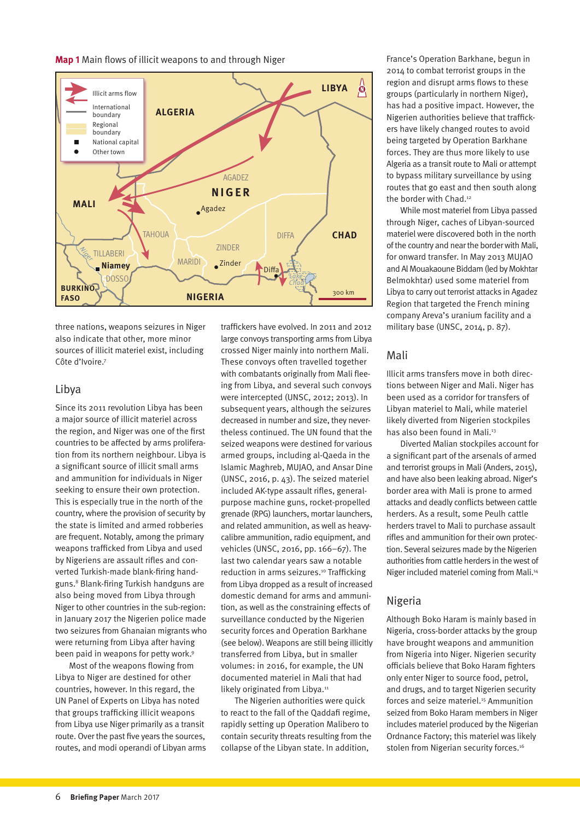**Map 1** Main flows of illicit weapons to and through Niger



three nations, weapons seizures in Niger also indicate that other, more minor sources of illicit materiel exist, including Côte d'Ivoire.7

#### Libya

Since its 2011 revolution Libya has been a major source of illicit materiel across the region, and Niger was one of the first countries to be affected by arms proliferation from its northern neighbour. Libya is a significant source of illicit small arms and ammunition for individuals in Niger seeking to ensure their own protection. This is especially true in the north of the country, where the provision of security by the state is limited and armed robberies are frequent. Notably, among the primary weapons trafficked from Libya and used by Nigeriens are assault rifles and converted Turkish-made blank-firing handguns.8 Blank-firing Turkish handguns are also being moved from Libya through Niger to other countries in the sub-region: in January 2017 the Nigerien police made two seizures from Ghanaian migrants who were returning from Libya after having been paid in weapons for petty work.<sup>9</sup>

Most of the weapons flowing from Libya to Niger are destined for other countries, however. In this regard, the UN Panel of Experts on Libya has noted that groups trafficking illicit weapons from Libya use Niger primarily as a transit route. Over the past five years the sources, routes, and modi operandi of Libyan arms traffickers have evolved. In 2011 and 2012 large convoys transporting arms from Libya crossed Niger mainly into northern Mali. These convoys often travelled together with combatants originally from Mali fleeing from Libya, and several such convoys were intercepted (UNSC, 2012; 2013). In subsequent years, although the seizures decreased in number and size, they nevertheless continued. The UN found that the seized weapons were destined for various armed groups, including al-Qaeda in the Islamic Maghreb, MUJAO, and Ansar Dine (UNSC, 2016, p. 43). The seized materiel included AK-type assault rifles, generalpurpose machine guns, rocket-propelled grenade (RPG) launchers, mortar launchers, and related ammunition, as well as heavycalibre ammunition, radio equipment, and vehicles (UNSC, 2016, pp. 166–67). The last two calendar years saw a notable reduction in arms seizures.<sup>10</sup> Trafficking from Libya dropped as a result of increased domestic demand for arms and ammunition, as well as the constraining effects of surveillance conducted by the Nigerien security forces and Operation Barkhane (see below). Weapons are still being illicitly transferred from Libya, but in smaller volumes: in 2016, for example, the UN documented materiel in Mali that had likely originated from Libya.<sup>11</sup>

The Nigerien authorities were quick to react to the fall of the Qaddafi regime, rapidly setting up Operation Malibero to contain security threats resulting from the collapse of the Libyan state. In addition,

France's Operation Barkhane, begun in 2014 to combat terrorist groups in the region and disrupt arms flows to these groups (particularly in northern Niger), has had a positive impact. However, the Nigerien authorities believe that traffickers have likely changed routes to avoid being targeted by Operation Barkhane forces. They are thus more likely to use Algeria as a transit route to Mali or attempt to bypass military surveillance by using routes that go east and then south along the border with Chad.<sup>12</sup>

While most materiel from Libya passed through Niger, caches of Libyan-sourced materiel were discovered both in the north of the country and near the border with Mali, for onward transfer. In May 2013 MUJAO and Al Mouakaoune Biddam (led by Mokhtar Belmokhtar) used some materiel from Libya to carry out terrorist attacks in Agadez Region that targeted the French mining company Areva's uranium facility and a military base (UNSC, 2014, p. 87).

#### Mali

Illicit arms transfers move in both directions between Niger and Mali. Niger has been used as a corridor for transfers of Libyan materiel to Mali, while materiel likely diverted from Nigerien stockpiles has also been found in Mali.<sup>13</sup>

Diverted Malian stockpiles account for a significant part of the arsenals of armed and terrorist groups in Mali (Anders, 2015), and have also been leaking abroad. Niger's border area with Mali is prone to armed attacks and deadly conflicts between cattle herders. As a result, some Peulh cattle herders travel to Mali to purchase assault rifles and ammunition for their own protection. Several seizures made by the Nigerien authorities from cattle herders in the west of Niger included materiel coming from Mali.14

### Nigeria

Although Boko Haram is mainly based in Nigeria, cross-border attacks by the group have brought weapons and ammunition from Nigeria into Niger. Nigerien security officials believe that Boko Haram fighters only enter Niger to source food, petrol, and drugs, and to target Nigerien security forces and seize materiel.<sup>15</sup> Ammunition seized from Boko Haram members in Niger includes materiel produced by the Nigerian Ordnance Factory; this materiel was likely stolen from Nigerian security forces.<sup>16</sup>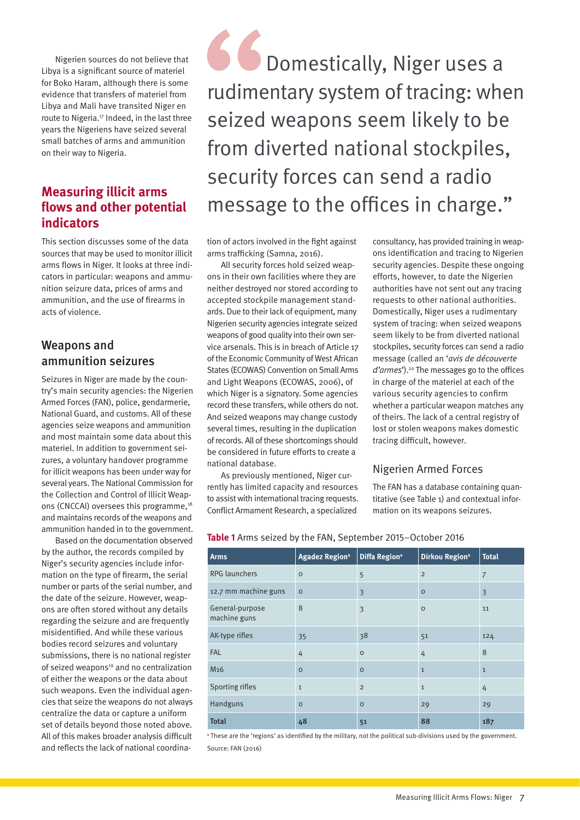Nigerien sources do not believe that Libya is a significant source of materiel for Boko Haram, although there is some evidence that transfers of materiel from Libya and Mali have transited Niger en route to Nigeria.<sup>17</sup> Indeed, in the last three years the Nigeriens have seized several small batches of arms and ammunition on their way to Nigeria.

# **Measuring illicit arms flows and other potential indicators**

This section discusses some of the data sources that may be used to monitor illicit arms flows in Niger. It looks at three indicators in particular: weapons and ammunition seizure data, prices of arms and ammunition, and the use of firearms in acts of violence.

## Weapons and ammunition seizures

Seizures in Niger are made by the country's main security agencies: the Nigerien Armed Forces (FAN), police, gendarmerie, National Guard, and customs. All of these agencies seize weapons and ammunition and most maintain some data about this materiel. In addition to government seizures, a voluntary handover programme for illicit weapons has been under way for several years. The National Commission for the Collection and Control of Illicit Weapons (CNCCAI) oversees this programme,<sup>18</sup> and maintains records of the weapons and ammunition handed in to the government.

Based on the documentation observed by the author, the records compiled by Niger's security agencies include information on the type of firearm, the serial number or parts of the serial number, and the date of the seizure. However, weapons are often stored without any details regarding the seizure and are frequently misidentified. And while these various bodies record seizures and voluntary submissions, there is no national register of seized weapons $19$  and no centralization of either the weapons or the data about such weapons. Even the individual agencies that seize the weapons do not always centralize the data or capture a uniform set of details beyond those noted above. All of this makes broader analysis difficult and reflects the lack of national coordina-

**C** Domestically, Niger uses a rudimentary system of tracing: when seized weapons seem likely to be from diverted national stockpiles, security forces can send a radio message to the offices in charge."

tion of actors involved in the fight against arms trafficking (Samna, 2016).

All security forces hold seized weapons in their own facilities where they are neither destroyed nor stored according to accepted stockpile management standards. Due to their lack of equipment, many Nigerien security agencies integrate seized weapons of good quality into their own service arsenals. This is in breach of Article 17 of the Economic Community of West African States (ECOWAS) Convention on Small Arms and Light Weapons (ECOWAS, 2006), of which Niger is a signatory. Some agencies record these transfers, while others do not. And seized weapons may change custody several times, resulting in the duplication of records. All of these shortcomings should be considered in future efforts to create a national database.

As previously mentioned, Niger currently has limited capacity and resources to assist with international tracing requests. Conflict Armament Research, a specialized

consultancy, has provided training in weapons identification and tracing to Nigerien security agencies. Despite these ongoing efforts, however, to date the Nigerien authorities have not sent out any tracing requests to other national authorities. Domestically, Niger uses a rudimentary system of tracing: when seized weapons seem likely to be from diverted national stockpiles, security forces can send a radio message (called an '*avis de découverte d'armes*').20 The messages go to the offices in charge of the materiel at each of the various security agencies to confirm whether a particular weapon matches any of theirs. The lack of a central registry of lost or stolen weapons makes domestic tracing difficult, however.

### Nigerien Armed Forces

The FAN has a database containing quantitative (see Table 1) and contextual information on its weapons seizures.

| <b>Arms</b>                     | <b>Agadez Regiona</b> | Diffa Region <sup>a</sup> | Dirkou Region <sup>a</sup> | <b>Total</b>   |
|---------------------------------|-----------------------|---------------------------|----------------------------|----------------|
| <b>RPG</b> launchers            | $\circ$               | 5                         | $\overline{2}$             | $\overline{7}$ |
| 12.7 mm machine guns            | $\circ$               | $\overline{\mathbf{3}}$   | $\circ$                    | 3              |
| General-purpose<br>machine guns | 8                     | 3                         | $\circ$                    | 11             |
| AK-type rifles                  | 35                    | 38                        | 51                         | 124            |
| <b>FAL</b>                      | 4                     | $\circ$                   | 4                          | 8              |
| M <sub>16</sub>                 | $\circ$               | $\circ$                   | $\mathbf{1}$               | $\mathbf{1}$   |
| Sporting rifles                 | $\mathbf{1}$          | $\overline{2}$            | $\mathbf{1}$               | 4              |
| Handguns                        | $\circ$               | $\circ$                   | 29                         | 29             |
| <b>Total</b>                    | 48                    | 51                        | 88                         | 187            |

**Table 1** Arms seized by the FAN, September 2015–October 2016

a These are the 'regions' as identified by the military, not the political sub-divisions used by the government. Source: FAN (2016)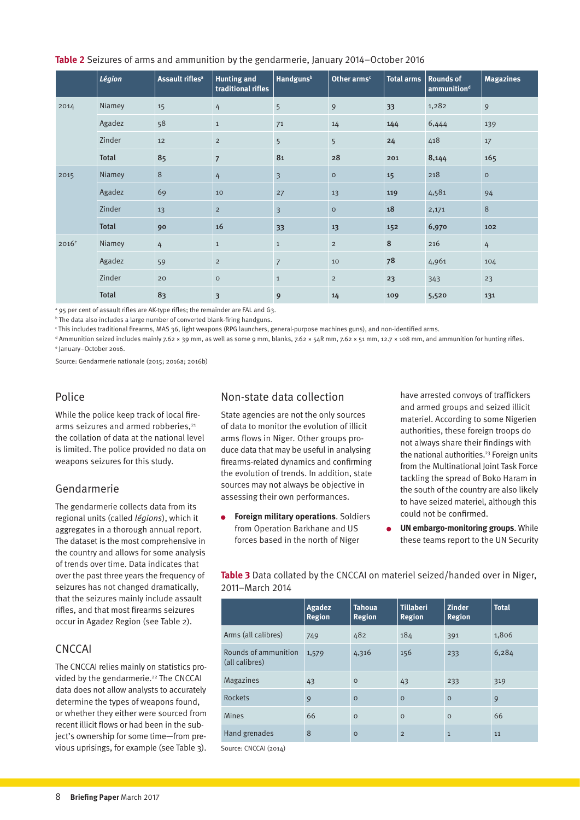#### **Table 2** Seizures of arms and ammunition by the gendarmerie, January 2014–October 2016

|                   | Légion       | Assault rifles <sup>a</sup> | <b>Hunting and</b><br>traditional rifles | <b>Handguns</b> <sup>b</sup> | Other arms <sup>c</sup> | <b>Total arms</b> | <b>Rounds of</b><br>ammunition <sup>d</sup> | <b>Magazines</b> |
|-------------------|--------------|-----------------------------|------------------------------------------|------------------------------|-------------------------|-------------------|---------------------------------------------|------------------|
| 2014              | Niamey       | 15                          | $\overline{4}$                           | 5                            | 9                       | 33                | 1,282                                       | 9                |
|                   | Agadez       | 58                          | $\mathbf 1$                              | 71                           | 14                      | 144               | 6,444                                       | 139              |
|                   | Zinder       | 12                          | $\overline{2}$                           | 5                            | 5                       | 24                | 418                                         | 17               |
|                   | Total        | 85                          | $\overline{7}$                           | 81                           | 28                      | 201               | 8,144                                       | 165              |
| 2015              | Niamey       | 8                           | $\overline{4}$                           | $\overline{\mathbf{3}}$      | $\circ$                 | 15                | 218                                         | $\circ$          |
|                   | Agadez       | 69                          | 10                                       | 27                           | 13                      | 119               | 4,581                                       | 94               |
|                   | Zinder       | 13                          | $\overline{2}$                           | $\overline{\mathbf{3}}$      | $\circ$                 | 18                | 2,171                                       | 8                |
|                   | <b>Total</b> | 90                          | 16                                       | 33                           | 13                      | 152               | 6,970                                       | 102              |
| 2016 <sup>e</sup> | Niamey       | $\overline{4}$              | $\mathbf{1}$                             | $\mathbf{1}$                 | $\overline{2}$          | 8                 | 216                                         | $\overline{4}$   |
|                   | Agadez       | 59                          | $\overline{2}$                           | $\overline{7}$               | 10                      | 78                | 4,961                                       | 104              |
|                   | Zinder       | 20                          | $\circ$                                  | $\mathbf{1}$                 | $\overline{2}$          | 23                | 343                                         | 23               |
|                   | <b>Total</b> | 83                          | $\overline{\mathbf{3}}$                  | 9                            | 14                      | 109               | 5,520                                       | 131              |

a 95 per cent of assault rifles are AK-type rifles; the remainder are FAL and G3.

<sup>b</sup> The data also includes a large number of converted blank-firing handguns.

c This includes traditional firearms, MAS 36, light weapons (RPG launchers, general-purpose machines guns), and non-identified arms.

d Ammunition seized includes mainly 7.62 × 39 mm, as well as some 9 mm, blanks, 7.62 × 54R mm, 7.62 × 51 mm, 12.7 × 108 mm, and ammunition for hunting rifles. e January–October 2016.

Source: Gendarmerie nationale (2015; 2016a; 2016b)

#### Police

While the police keep track of local firearms seizures and armed robberies,<sup>21</sup> the collation of data at the national level is limited. The police provided no data on weapons seizures for this study.

### Gendarmerie

The gendarmerie collects data from its regional units (called *légions*), which it aggregates in a thorough annual report. The dataset is the most comprehensive in the country and allows for some analysis of trends over time. Data indicates that over the past three years the frequency of seizures has not changed dramatically, that the seizures mainly include assault rifles, and that most firearms seizures occur in Agadez Region (see Table 2).

### **CNCCAI**

The CNCCAI relies mainly on statistics provided by the gendarmerie.<sup>22</sup> The CNCCAI data does not allow analysts to accurately determine the types of weapons found, or whether they either were sourced from recent illicit flows or had been in the subject's ownership for some time—from previous uprisings, for example (see Table 3).

### Non-state data collection

State agencies are not the only sources of data to monitor the evolution of illicit arms flows in Niger. Other groups produce data that may be useful in analysing firearms-related dynamics and confirming the evolution of trends. In addition, state sources may not always be objective in assessing their own performances.

**Foreign military operations**. Soldiers  $\bullet$ from Operation Barkhane and US forces based in the north of Niger

have arrested convoys of traffickers and armed groups and seized illicit materiel. According to some Nigerien authorities, these foreign troops do not always share their findings with the national authorities.<sup>23</sup> Foreign units from the Multinational Joint Task Force tackling the spread of Boko Haram in the south of the country are also likely to have seized materiel, although this could not be confirmed.

**UN embargo-monitoring groups**. While these teams report to the UN Security

**Table 3** Data collated by the CNCCAI on materiel seized/handed over in Niger, 2011–March 2014

|                                        | Agadez<br><b>Region</b> | <b>Tahoua</b><br><b>Region</b> | <b>Tillaberi</b><br><b>Region</b> | <b>Zinder</b><br><b>Region</b> | <b>Total</b> |
|----------------------------------------|-------------------------|--------------------------------|-----------------------------------|--------------------------------|--------------|
| Arms (all calibres)                    | 749                     | 482                            | 184                               | 391                            | 1,806        |
| Rounds of ammunition<br>(all calibres) | 1,579                   | 4,316                          | 156                               | 233                            | 6,284        |
| <b>Magazines</b>                       | 43                      | $\circ$                        | 43                                | 233                            | 319          |
| Rockets                                | 9                       | $\circ$                        | $\Omega$                          | $\circ$                        | 9            |
| <b>Mines</b>                           | 66                      | $\circ$                        | $\circ$                           | $\circ$                        | 66           |
| Hand grenades                          | 8                       | $\circ$                        | $\overline{2}$                    | $\mathbf{1}$                   | 11           |

Source: CNCCAI (2014)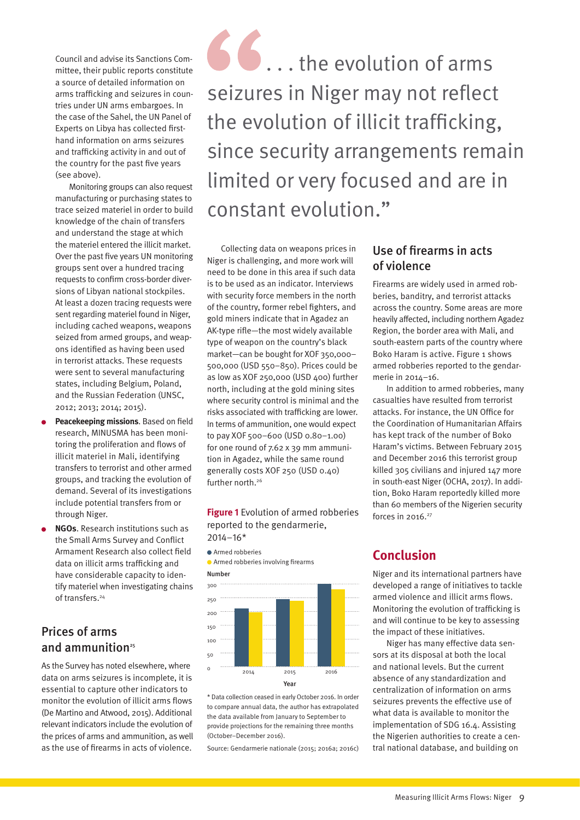Council and advise its Sanctions Committee, their public reports constitute a source of detailed information on arms trafficking and seizures in countries under UN arms embargoes. In the case of the Sahel, the UN Panel of Experts on Libya has collected firsthand information on arms seizures and trafficking activity in and out of the country for the past five years (see above).

Monitoring groups can also request manufacturing or purchasing states to trace seized materiel in order to build knowledge of the chain of transfers and understand the stage at which the materiel entered the illicit market. Over the past five years UN monitoring groups sent over a hundred tracing requests to confirm cross-border diversions of Libyan national stockpiles. At least a dozen tracing requests were sent regarding materiel found in Niger, including cached weapons, weapons seized from armed groups, and weapons identified as having been used in terrorist attacks. These requests were sent to several manufacturing states, including Belgium, Poland, and the Russian Federation (UNSC, 2012; 2013; 2014; 2015).

- **Peacekeeping missions**. Based on field research, MINUSMA has been monitoring the proliferation and flows of illicit materiel in Mali, identifying transfers to terrorist and other armed groups, and tracking the evolution of demand. Several of its investigations include potential transfers from or through Niger.
- **NGOs**. Research institutions such as the Small Arms Survey and Conflict Armament Research also collect field data on illicit arms trafficking and have considerable capacity to identify materiel when investigating chains of transfers.<sup>24</sup>

# Prices of arms and ammunition $25$

As the Survey has noted elsewhere, where data on arms seizures is incomplete, it is essential to capture other indicators to monitor the evolution of illicit arms flows (De Martino and Atwood, 2015). Additional relevant indicators include the evolution of the prices of arms and ammunition, as well as the use of firearms in acts of violence.



Collecting data on weapons prices in Niger is challenging, and more work will need to be done in this area if such data is to be used as an indicator. Interviews with security force members in the north of the country, former rebel fighters, and gold miners indicate that in Agadez an AK-type rifle—the most widely available type of weapon on the country's black market—can be bought for XOF 350,000– 500,000 (USD 550–850). Prices could be as low as XOF 250,000 (USD 400) further north, including at the gold mining sites where security control is minimal and the risks associated with trafficking are lower. In terms of ammunition, one would expect to pay XOF 500–600 (USD 0.80–1.00) for one round of 7.62 x 39 mm ammunition in Agadez, while the same round generally costs XOF 250 (USD 0.40) further north.<sup>26</sup>

**Figure 1** Evolution of armed robberies reported to the gendarmerie, 2014–16\*



\* Data collection ceased in early October 2016. In order to compare annual data, the author has extrapolated the data available from January to September to provide projections for the remaining three months (October–December 2016).

Source: Gendarmerie nationale (2015; 2016a; 2016c)

## Use of firearms in acts of violence

Firearms are widely used in armed robberies, banditry, and terrorist attacks across the country. Some areas are more heavily affected, including northern Agadez Region, the border area with Mali, and south-eastern parts of the country where Boko Haram is active. Figure 1 shows armed robberies reported to the gendarmerie in 2014–16.

In addition to armed robberies, many casualties have resulted from terrorist attacks. For instance, the UN Office for the Coordination of Humanitarian Affairs has kept track of the number of Boko Haram's victims. Between February 2015 and December 2016 this terrorist group killed 305 civilians and injured 147 more in south-east Niger (OCHA, 2017). In addition, Boko Haram reportedly killed more than 60 members of the Nigerien security forces in  $2016.<sup>27</sup>$ 

# **Conclusion**

Niger and its international partners have developed a range of initiatives to tackle armed violence and illicit arms flows. Monitoring the evolution of trafficking is and will continue to be key to assessing the impact of these initiatives.

Niger has many effective data sensors at its disposal at both the local and national levels. But the current absence of any standardization and centralization of information on arms seizures prevents the effective use of what data is available to monitor the implementation of SDG 16.4. Assisting the Nigerien authorities to create a central national database, and building on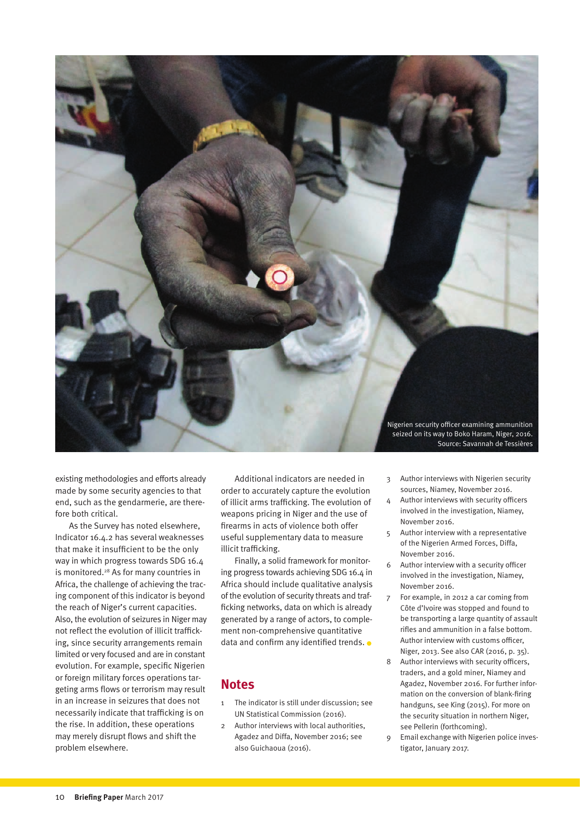

existing methodologies and efforts already made by some security agencies to that end, such as the gendarmerie, are therefore both critical.

As the Survey has noted elsewhere, Indicator 16.4.2 has several weaknesses that make it insufficient to be the only way in which progress towards SDG 16.4 is monitored.28 As for many countries in Africa, the challenge of achieving the tracing component of this indicator is beyond the reach of Niger's current capacities. Also, the evolution of seizures in Niger may not reflect the evolution of illicit trafficking, since security arrangements remain limited or very focused and are in constant evolution. For example, specific Nigerien or foreign military forces operations targeting arms flows or terrorism may result in an increase in seizures that does not necessarily indicate that trafficking is on the rise. In addition, these operations may merely disrupt flows and shift the problem elsewhere.

Additional indicators are needed in order to accurately capture the evolution of illicit arms trafficking. The evolution of weapons pricing in Niger and the use of firearms in acts of violence both offer useful supplementary data to measure illicit trafficking.

Finally, a solid framework for monitoring progress towards achieving SDG 16.4 in Africa should include qualitative analysis of the evolution of security threats and trafficking networks, data on which is already generated by a range of actors, to complement non-comprehensive quantitative data and confirm any identified trends. .

### **Notes**

- 1 The indicator is still under discussion; see UN Statistical Commission (2016).
- 2 Author interviews with local authorities, Agadez and Diffa, November 2016; see also Guichaoua (2016).
- 3 Author interviews with Nigerien security sources, Niamey, November 2016.
- 4 Author interviews with security officers involved in the investigation, Niamey, November 2016.
- 5 Author interview with a representative of the Nigerien Armed Forces, Diffa, November 2016.
- 6 Author interview with a security officer involved in the investigation, Niamey, November 2016.
- 7 For example, in 2012 a car coming from Côte d'Ivoire was stopped and found to be transporting a large quantity of assault rifles and ammunition in a false bottom. Author interview with customs officer, Niger, 2013. See also CAR (2016, p. 35).
- 8 Author interviews with security officers, traders, and a gold miner, Niamey and Agadez, November 2016. For further information on the conversion of blank-firing handguns, see King (2015). For more on the security situation in northern Niger, see Pellerin (forthcoming).
- 9 Email exchange with Nigerien police investigator, January 2017.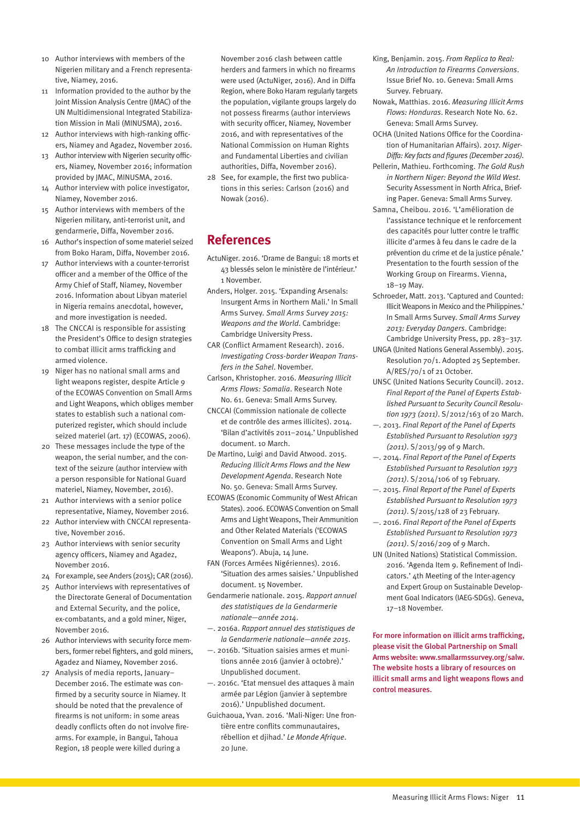- 10 Author interviews with members of the Nigerien military and a French representative, Niamey, 2016.
- 11 Information provided to the author by the Joint Mission Analysis Centre (JMAC) of the UN Multidimensional Integrated Stabilization Mission in Mali (MINUSMA), 2016.
- 12 Author interviews with high-ranking officers, Niamey and Agadez, November 2016.
- 13 Author interview with Nigerien security officers, Niamey, November 2016; information provided by JMAC, MINUSMA, 2016.
- 14 Author interview with police investigator, Niamey, November 2016.
- 15 Author interviews with members of the Nigerien military, anti-terrorist unit, and gendarmerie, Diffa, November 2016.
- 16 Author's inspection of some materiel seized from Boko Haram, Diffa, November 2016.
- 17 Author interviews with a counter-terrorist officer and a member of the Office of the Army Chief of Staff, Niamey, November 2016. Information about Libyan materiel in Nigeria remains anecdotal, however, and more investigation is needed.
- 18 The CNCCAI is responsible for assisting the President's Office to design strategies to combat illicit arms trafficking and armed violence.
- 19 Niger has no national small arms and light weapons register, despite Article 9 of the ECOWAS Convention on Small Arms and Light Weapons, which obliges member states to establish such a national computerized register, which should include seized materiel (art. 17) (ECOWAS, 2006).
- 20 These messages include the type of the weapon, the serial number, and the context of the seizure (author interview with a person responsible for National Guard materiel, Niamey, November, 2016).
- 21 Author interviews with a senior police representative, Niamey, November 2016.
- 22 Author interview with CNCCAI representative, November 2016.
- 23 Author interviews with senior security agency officers, Niamey and Agadez, November 2016.
- 24 For example, see Anders (2015); CAR (2016).
- 25 Author interviews with representatives of the Directorate General of Documentation and External Security, and the police, ex-combatants, and a gold miner, Niger, November 2016.
- 26 Author interviews with security force members, former rebel fighters, and gold miners, Agadez and Niamey, November 2016.
- 27 Analysis of media reports, January– December 2016. The estimate was confirmed by a security source in Niamey. It should be noted that the prevalence of firearms is not uniform: in some areas deadly conflicts often do not involve firearms. For example, in Bangui, Tahoua Region, 18 people were killed during a

November 2016 clash between cattle herders and farmers in which no firearms were used (ActuNiger, 2016). And in Diffa Region, where Boko Haram regularly targets the population, vigilante groups largely do not possess firearms (author interviews with security officer, Niamey, November 2016, and with representatives of the National Commission on Human Rights and Fundamental Liberties and civilian authorities, Diffa, November 2016).

28 See, for example, the first two publications in this series: Carlson (2016) and Nowak (2016).

## **References**

- ActuNiger. 2016. ['Drame de Bangui: 18 morts et](http://www.actuniger.com/societe/12228-drame-de-bangui-18-morts-et-43-bless%C3%A9s-selon-le-minist%C3%A8re-de-l-int%C3%A9rieur.html) [43 blessés selon le ministère de l'intérieur.'](http://www.actuniger.com/societe/12228-drame-de-bangui-18-morts-et-43-bless%C3%A9s-selon-le-minist%C3%A8re-de-l-int%C3%A9rieur.html) 1 November.
- Anders, Holger. 2015. ['Expanding Arsenals:](http://www.smallarmssurvey.org/fileadmin/docs/A-Yearbook/2015/eng/Small-Arms-Survey-2015-Chapter-06-EN.pdf)  [Insurgent Arms in Northern Mali.'](http://www.smallarmssurvey.org/fileadmin/docs/A-Yearbook/2015/eng/Small-Arms-Survey-2015-Chapter-06-EN.pdf) In Small Arms Survey. *Small Arms Survey 2015: Weapons and the World*. Cambridge: Cambridge University Press.
- CAR (Conflict Armament Research). 2016. *[Investigating Cross-border Weapon Trans](http://www.conflictarm.com/download-file/?report_id=2433&file_id=2434)[fers in the Sahel](http://www.conflictarm.com/download-file/?report_id=2433&file_id=2434)*. November.
- Carlson, Khristopher. 2016. *[Measuring Illicit](http://www.smallarmssurvey.org/fileadmin/docs/H-Research_Notes/SAS-Research-Note-61.pdf)  [Arms Flows: Somalia](http://www.smallarmssurvey.org/fileadmin/docs/H-Research_Notes/SAS-Research-Note-61.pdf)*. Research Note No. 61. Geneva: Small Arms Survey.
- CNCCAI (Commission nationale de collecte et de contrôle des armes illicites). 2014. 'Bilan d'activités 2011–2014.' Unpublished document. 10 March.
- De Martino, Luigi and David Atwood. 2015. *[Reducing Illicit Arms Flows and the New](http://www.smallarmssurvey.org/fileadmin/docs/H-Research_Notes/SAS-Research-Note-50.pdf)  [Development Agenda](http://www.smallarmssurvey.org/fileadmin/docs/H-Research_Notes/SAS-Research-Note-50.pdf)*. Research Note No. 50. Geneva: Small Arms Survey.
- ECOWAS (Economic Community of West African States). 2006. [ECOWAS Convention on Small](http://www.poa-iss.org/RegionalOrganizations/ECOWAS/ECOWAS%20Convention%202006.pdf)  [Arms and Light Weapons, Their Ammunition](http://www.poa-iss.org/RegionalOrganizations/ECOWAS/ECOWAS%20Convention%202006.pdf)  [and Other Related Materials \('ECOWAS](http://www.poa-iss.org/RegionalOrganizations/ECOWAS/ECOWAS%20Convention%202006.pdf)  [Convention on Small Arms and Light](http://www.poa-iss.org/RegionalOrganizations/ECOWAS/ECOWAS%20Convention%202006.pdf)  [Weapons'\).](http://www.poa-iss.org/RegionalOrganizations/ECOWAS/ECOWAS%20Convention%202006.pdf) Abuja, 14 June.
- FAN (Forces Armées Nigériennes). 2016. 'Situation des armes saisies.' Unpublished document. 15 November.
- Gendarmerie nationale. 2015. *Rapport annuel des statistiques de la Gendarmerie nationale—année 2014*.
- —. 2016a. *Rapport annuel des statistiques de la Gendarmerie nationale—année 2015*.
- —. 2016b. 'Situation saisies armes et munitions année 2016 (janvier à octobre).' Unpublished document.
- —. 2016c. 'Etat mensuel des attaques à main armée par Légion (janvier à septembre 2016).' Unpublished document.
- Guichaoua, Yvan. 2016. ['Mali-Niger: Une fron](http://www.lemonde.fr/afrique/article/2016/06/20/mali-niger-une-frontiere-entre-conflits-communautaires-rebellion-et-djihad_4954085_3212.html)[tière entre conflits communautaires,](http://www.lemonde.fr/afrique/article/2016/06/20/mali-niger-une-frontiere-entre-conflits-communautaires-rebellion-et-djihad_4954085_3212.html)  [rébellion et djihad.'](http://www.lemonde.fr/afrique/article/2016/06/20/mali-niger-une-frontiere-entre-conflits-communautaires-rebellion-et-djihad_4954085_3212.html) *Le Monde Afrique*. 20 June.
- King, Benjamin. 2015. *[From Replica to Real:](http://www.smallarmssurvey.org/fileadmin/docs/G-Issue-briefs/SAS-IB10-From-Replica-to-Real.pdf)  [An Introduction to Firearms Conversions](http://www.smallarmssurvey.org/fileadmin/docs/G-Issue-briefs/SAS-IB10-From-Replica-to-Real.pdf)*. Issue Brief No. 10. Geneva: Small Arms Survey. February.
- Nowak, Matthias. 2016. *[Measuring Illicit Arms](http://www.smallarmssurvey.org/fileadmin/docs/H-Research_Notes/SAS-Research-Note-62.pdf)  [Flows: Honduras](http://www.smallarmssurvey.org/fileadmin/docs/H-Research_Notes/SAS-Research-Note-62.pdf)*. Research Note No. 62. Geneva: Small Arms Survey.
- OCHA (United Nations Office for the Coordination of Humanitarian Affairs). 2017. *[Niger-](http://reliefweb.int/sites/reliefweb.int/files/resources/NER_Diffa_Timeline_25012017.pdf)[Diffa: Key facts and figures \(December 2016\).](http://reliefweb.int/sites/reliefweb.int/files/resources/NER_Diffa_Timeline_25012017.pdf)*
- Pellerin, Mathieu. Forthcoming. *The Gold Rush in Northern Niger: Beyond the Wild West*. Security Assessment in North Africa, Briefing Paper. Geneva: Small Arms Survey.
- Samna, Cheibou. 2016. ['L'amélioration de](http://www.unodc.org/documents/treaties/Firearms_2016/Niger_-_French.pdf)  [l'assistance technique et le renforcement](http://www.unodc.org/documents/treaties/Firearms_2016/Niger_-_French.pdf)  [des capacités pour lutter contre le traffic](http://www.unodc.org/documents/treaties/Firearms_2016/Niger_-_French.pdf)  [illicite d'armes à feu dans le cadre de la](http://www.unodc.org/documents/treaties/Firearms_2016/Niger_-_French.pdf)  [prévention du crime et de la justice pénale.'](http://www.unodc.org/documents/treaties/Firearms_2016/Niger_-_French.pdf)  Presentation to the fourth session of the Working Group on Firearms. Vienna, 18–19 May.
- Schroeder, Matt. 2013. ['Captured and Counted:](http://www.smallarmssurvey.org/fileadmin/docs/A-Yearbook/2013/en/Small-Arms-Survey-2013-Chapter-12-EN.pdf)  [Illicit Weapons in Mexico and the Philippines.'](http://www.smallarmssurvey.org/fileadmin/docs/A-Yearbook/2013/en/Small-Arms-Survey-2013-Chapter-12-EN.pdf) In Small Arms Survey. *Small Arms Survey 2013: Everyday Dangers*. Cambridge: Cambridge University Press, pp. 283–317.
- UNGA (United Nations General Assembly). 2015. [Resolution 70/1.](http://www.un.org/ga/search/view_doc.asp?symbol=A/RES/70/1&Lang=E) Adopted 25 September. A/RES/70/1 of 21 October.
- UNSC (United Nations Security Council). 2012. *[Final Report of the Panel of Experts Estab](http://www.securitycouncilreport.org/atf/cf/%7B65BFCF9B-6D27-4E9C-8CD3-CF6E4FF96FF9%7D/Libya%20S%202012%20163.pdf)[lished Pursuant to Security Council Resolu](http://www.securitycouncilreport.org/atf/cf/%7B65BFCF9B-6D27-4E9C-8CD3-CF6E4FF96FF9%7D/Libya%20S%202012%20163.pdf)[tion 1973 \(2011\)](http://www.securitycouncilreport.org/atf/cf/%7B65BFCF9B-6D27-4E9C-8CD3-CF6E4FF96FF9%7D/Libya%20S%202012%20163.pdf)*. S/2012/163 of 20 March.
- —. 2013. *[Final Report of the Panel of Experts](http://www.securitycouncilreport.org/atf/cf/%7B65BFCF9B-6D27-4E9C-8CD3-CF6E4FF96FF9%7D/s_2013_99.pdf)  [Established Pursuant to Resolution 1973](http://www.securitycouncilreport.org/atf/cf/%7B65BFCF9B-6D27-4E9C-8CD3-CF6E4FF96FF9%7D/s_2013_99.pdf)  [\(2011\)](http://www.securitycouncilreport.org/atf/cf/%7B65BFCF9B-6D27-4E9C-8CD3-CF6E4FF96FF9%7D/s_2013_99.pdf)*. S/2013/99 of 9 March.
- —. 2014. *[Final Report of the Panel of Experts](http://www.securitycouncilreport.org/atf/cf/%7B65BFCF9B-6D27-4E9C-8CD3-CF6E4FF96FF9%7D/s_2014_106.pdf)  [Established Pursuant to Resolution 1973](http://www.securitycouncilreport.org/atf/cf/%7B65BFCF9B-6D27-4E9C-8CD3-CF6E4FF96FF9%7D/s_2014_106.pdf)  [\(2011\)](http://www.securitycouncilreport.org/atf/cf/%7B65BFCF9B-6D27-4E9C-8CD3-CF6E4FF96FF9%7D/s_2014_106.pdf)*. S/2014/106 of 19 February.
- —. 2015. *[Final Report of the Panel of Experts](http://www.securitycouncilreport.org/atf/cf/%7B65BFCF9B-6D27-4E9C-8CD3-CF6E4FF96FF9%7D/s_2015_128.pdf)  [Established Pursuant to Resolution 1973](http://www.securitycouncilreport.org/atf/cf/%7B65BFCF9B-6D27-4E9C-8CD3-CF6E4FF96FF9%7D/s_2015_128.pdf)  [\(2011\)](http://www.securitycouncilreport.org/atf/cf/%7B65BFCF9B-6D27-4E9C-8CD3-CF6E4FF96FF9%7D/s_2015_128.pdf)*. S/2015/128 of 23 February.
- —. 2016. *[Final Report of the Panel of Experts](http://www.securitycouncilreport.org/atf/cf/%7B65BFCF9B-6D27-4E9C-8CD3-CF6E4FF96FF9%7D/s_2016_209.pdf)  [Established Pursuant to Resolution 1973](http://www.securitycouncilreport.org/atf/cf/%7B65BFCF9B-6D27-4E9C-8CD3-CF6E4FF96FF9%7D/s_2016_209.pdf)  [\(2011\)](http://www.securitycouncilreport.org/atf/cf/%7B65BFCF9B-6D27-4E9C-8CD3-CF6E4FF96FF9%7D/s_2016_209.pdf)*. S/2016/209 of 9 March.
- UN (United Nations) Statistical Commission. 2016. ['Agenda Item 9. Refinement of Indi](http://unstats.un.org/sdgs/files/meetings/iaeg-sdgs-meeting-04/9.%20Refinement%20of%20Indicators%20plenary.pdf)[cators.' 4](http://unstats.un.org/sdgs/files/meetings/iaeg-sdgs-meeting-04/9.%20Refinement%20of%20Indicators%20plenary.pdf)th Meeting of the Inter-agency and Expert Group on Sustainable Development Goal Indicators (IAEG-SDGs). Geneva, 17–18 November.

For more information on illicit arms trafficking, please visit the Global Partnership on Small Arms website: [www.smallarmssurvey.org/salw](http://www.smallarmssurvey.org/salw). The website hosts a library of resources on illicit small arms and light weapons flows and control measures.